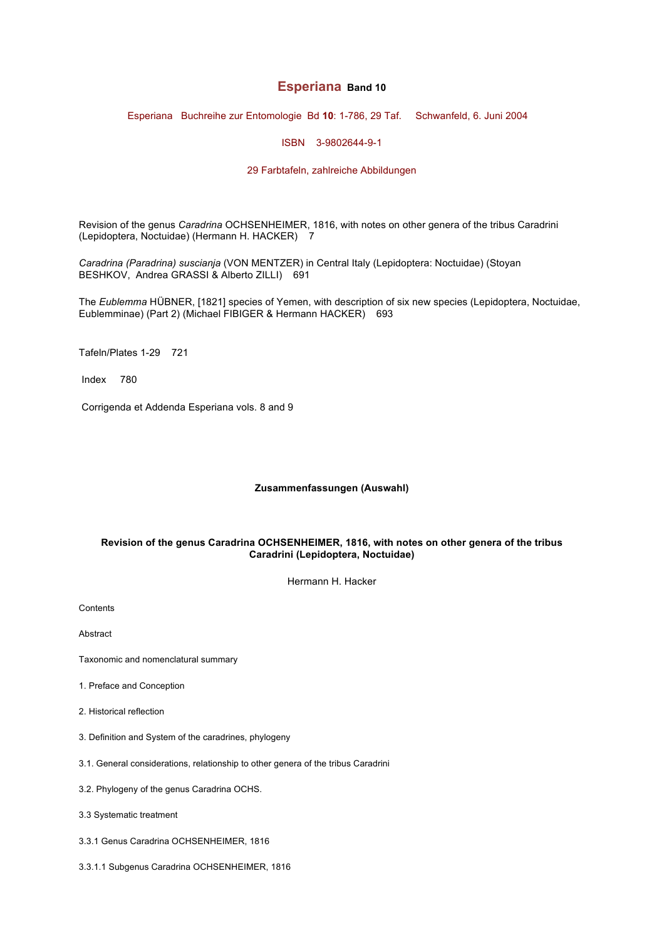# **Esperiana Band 10**

Esperiana Buchreihe zur Entomologie Bd **10**: 1-786, 29 Taf. Schwanfeld, 6. Juni 2004

ISBN 3-9802644-9-1

## 29 Farbtafeln, zahlreiche Abbildungen

Revision of the genus *Caradrina* OCHSENHEIMER, 1816, with notes on other genera of the tribus Caradrini (Lepidoptera, Noctuidae) (Hermann H. HACKER) 7

*Caradrina (Paradrina) suscianja* (VON MENTZER) in Central Italy (Lepidoptera: Noctuidae) (Stoyan BESHKOV, Andrea GRASSI & Alberto ZILLI) 691

The *Eublemma* HÜBNER, [1821] species of Yemen, with description of six new species (Lepidoptera, Noctuidae, Eublemminae) (Part 2) (Michael FIBIGER & Hermann HACKER) 693

Tafeln/Plates 1-29 721

Index 780

Corrigenda et Addenda Esperiana vols. 8 and 9

## **Zusammenfassungen (Auswahl)**

## **Revision of the genus Caradrina OCHSENHEIMER, 1816, with notes on other genera of the tribus Caradrini (Lepidoptera, Noctuidae)**

Hermann H. Hacker

**Contents** 

Abstract

- Taxonomic and nomenclatural summary
- 1. Preface and Conception
- 2. Historical reflection
- 3. Definition and System of the caradrines, phylogeny
- 3.1. General considerations, relationship to other genera of the tribus Caradrini
- 3.2. Phylogeny of the genus Caradrina OCHS.
- 3.3 Systematic treatment
- 3.3.1 Genus Caradrina OCHSENHEIMER, 1816
- 3.3.1.1 Subgenus Caradrina OCHSENHEIMER, 1816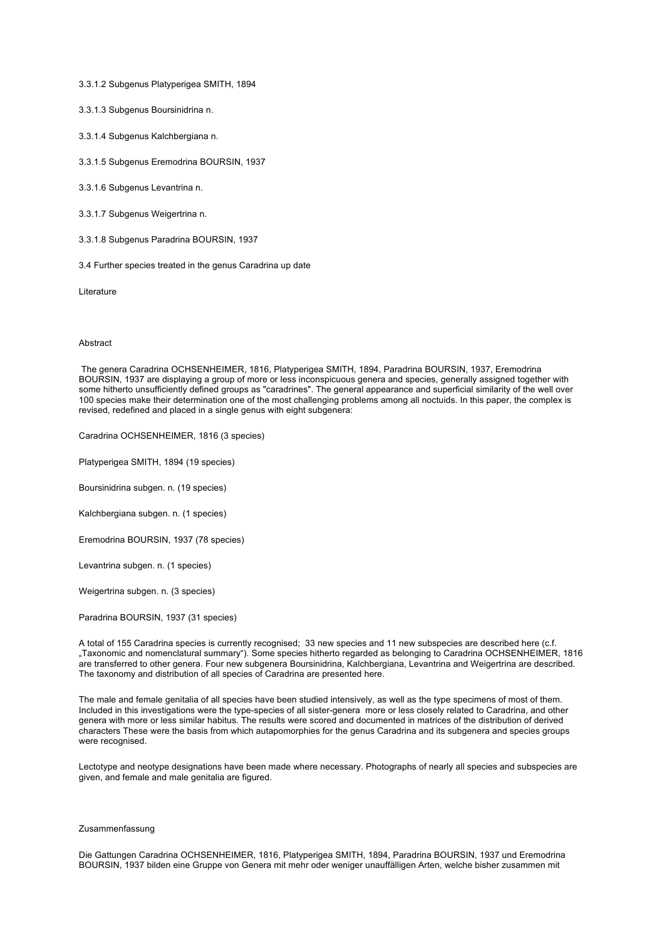3.3.1.2 Subgenus Platyperigea SMITH, 1894

3.3.1.3 Subgenus Boursinidrina n.

3.3.1.4 Subgenus Kalchbergiana n.

3.3.1.5 Subgenus Eremodrina BOURSIN, 1937

3.3.1.6 Subgenus Levantrina n.

3.3.1.7 Subgenus Weigertrina n.

3.3.1.8 Subgenus Paradrina BOURSIN, 1937

3.4 Further species treated in the genus Caradrina up date

Literature

### Abstract

The genera Caradrina OCHSENHEIMER, 1816, Platyperigea SMITH, 1894, Paradrina BOURSIN, 1937, Eremodrina BOURSIN, 1937 are displaying a group of more or less inconspicuous genera and species, generally assigned together with some hitherto unsufficiently defined groups as "caradrines". The general appearance and superficial similarity of the well over 100 species make their determination one of the most challenging problems among all noctuids. In this paper, the complex is revised, redefined and placed in a single genus with eight subgenera:

Caradrina OCHSENHEIMER, 1816 (3 species)

Platyperigea SMITH, 1894 (19 species)

Boursinidrina subgen. n. (19 species)

Kalchbergiana subgen. n. (1 species)

Eremodrina BOURSIN, 1937 (78 species)

Levantrina subgen. n. (1 species)

Weigertrina subgen. n. (3 species)

Paradrina BOURSIN, 1937 (31 species)

A total of 155 Caradrina species is currently recognised: 33 new species and 11 new subspecies are described here (c.f. "Taxonomic and nomenclatural summary"). Some species hitherto regarded as belonging to Caradrina OCHSENHEIMER, 1816 are transferred to other genera. Four new subgenera Boursinidrina, Kalchbergiana, Levantrina and Weigertrina are described. The taxonomy and distribution of all species of Caradrina are presented here.

The male and female genitalia of all species have been studied intensively, as well as the type specimens of most of them. Included in this investigations were the type-species of all sister-genera more or less closely related to Caradrina, and other genera with more or less similar habitus. The results were scored and documented in matrices of the distribution of derived characters These were the basis from which autapomorphies for the genus Caradrina and its subgenera and species groups were recognised.

Lectotype and neotype designations have been made where necessary. Photographs of nearly all species and subspecies are given, and female and male genitalia are figured.

#### Zusammenfassung

Die Gattungen Caradrina OCHSENHEIMER, 1816, Platyperigea SMITH, 1894, Paradrina BOURSIN, 1937 und Eremodrina BOURSIN, 1937 bilden eine Gruppe von Genera mit mehr oder weniger unauffälligen Arten, welche bisher zusammen mit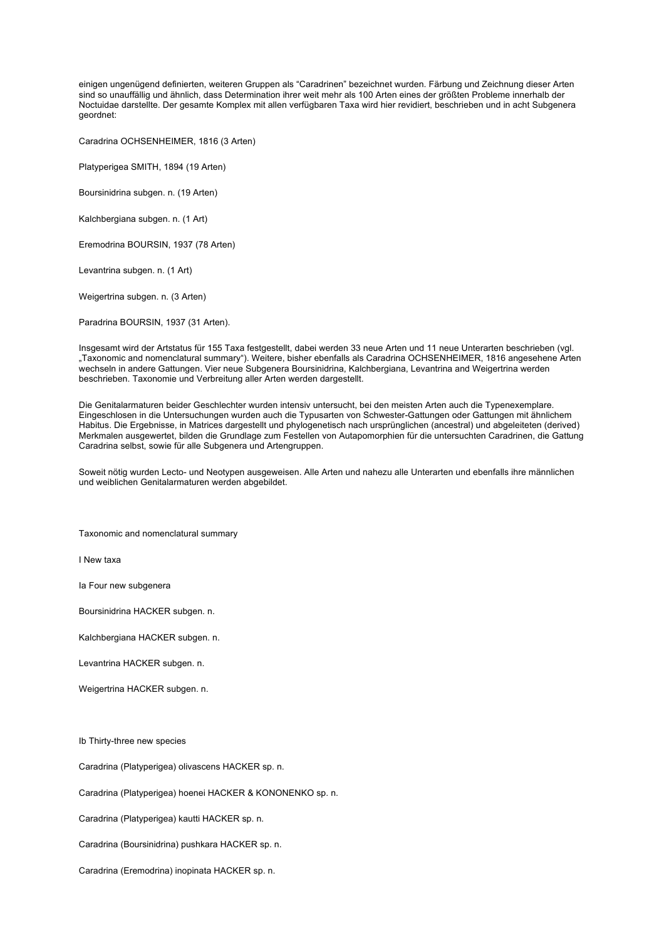einigen ungenügend definierten, weiteren Gruppen als "Caradrinen" bezeichnet wurden. Färbung und Zeichnung dieser Arten sind so unauffällig und ähnlich, dass Determination ihrer weit mehr als 100 Arten eines der größten Probleme innerhalb der Noctuidae darstellte. Der gesamte Komplex mit allen verfügbaren Taxa wird hier revidiert, beschrieben und in acht Subgenera geordnet:

Caradrina OCHSENHEIMER, 1816 (3 Arten)

Platyperigea SMITH, 1894 (19 Arten)

Boursinidrina subgen. n. (19 Arten)

Kalchbergiana subgen. n. (1 Art)

Eremodrina BOURSIN, 1937 (78 Arten)

Levantrina subgen. n. (1 Art)

Weigertrina subgen. n. (3 Arten)

Paradrina BOURSIN, 1937 (31 Arten).

Insgesamt wird der Artstatus für 155 Taxa festgestellt, dabei werden 33 neue Arten und 11 neue Unterarten beschrieben (vgl. "Taxonomic and nomenclatural summary"). Weitere, bisher ebenfalls als Caradrina OCHSENHEIMER, 1816 angesehene Arten wechseln in andere Gattungen. Vier neue Subgenera Boursinidrina, Kalchbergiana, Levantrina and Weigertrina werden beschrieben. Taxonomie und Verbreitung aller Arten werden dargestellt.

Die Genitalarmaturen beider Geschlechter wurden intensiv untersucht, bei den meisten Arten auch die Typenexemplare. Eingeschlosen in die Untersuchungen wurden auch die Typusarten von Schwester-Gattungen oder Gattungen mit ähnlichem Habitus. Die Ergebnisse, in Matrices dargestellt und phylogenetisch nach ursprünglichen (ancestral) und abgeleiteten (derived) Merkmalen ausgewertet, bilden die Grundlage zum Festellen von Autapomorphien für die untersuchten Caradrinen, die Gattung Caradrina selbst, sowie für alle Subgenera und Artengruppen.

Soweit nötig wurden Lecto- und Neotypen ausgeweisen. Alle Arten und nahezu alle Unterarten und ebenfalls ihre männlichen und weiblichen Genitalarmaturen werden abgebildet.

Taxonomic and nomenclatural summary

I New taxa

Ia Four new subgenera

Boursinidrina HACKER subgen. n.

Kalchbergiana HACKER subgen. n.

Levantrina HACKER subgen. n.

Weigertrina HACKER subgen. n.

Ib Thirty-three new species

Caradrina (Platyperigea) olivascens HACKER sp. n.

Caradrina (Platyperigea) hoenei HACKER & KONONENKO sp. n.

Caradrina (Platyperigea) kautti HACKER sp. n.

Caradrina (Boursinidrina) pushkara HACKER sp. n.

Caradrina (Eremodrina) inopinata HACKER sp. n.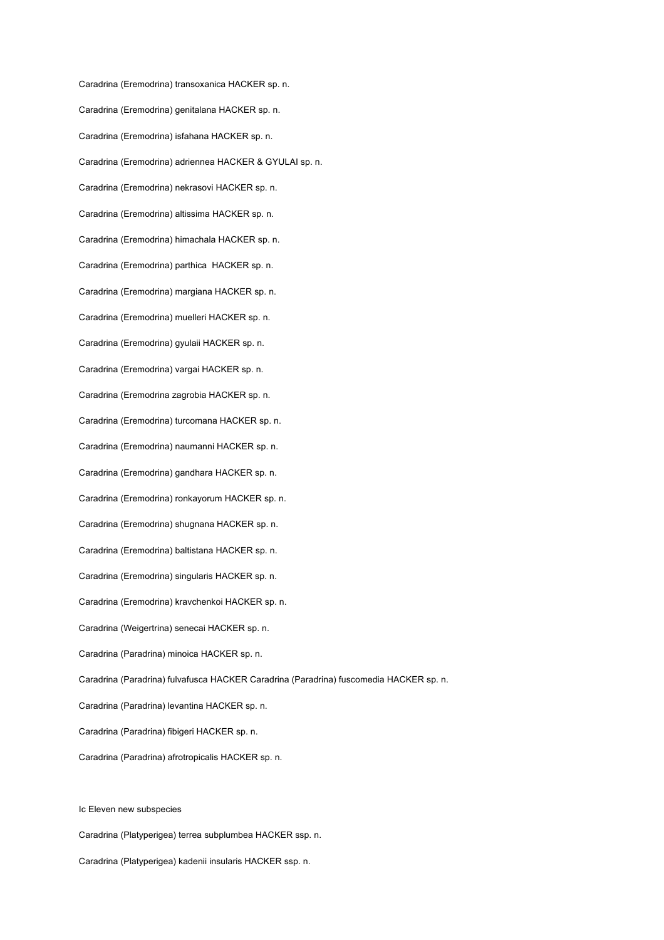Caradrina (Eremodrina) transoxanica HACKER sp. n. Caradrina (Eremodrina) genitalana HACKER sp. n. Caradrina (Eremodrina) isfahana HACKER sp. n. Caradrina (Eremodrina) adriennea HACKER & GYULAI sp. n. Caradrina (Eremodrina) nekrasovi HACKER sp. n. Caradrina (Eremodrina) altissima HACKER sp. n. Caradrina (Eremodrina) himachala HACKER sp. n. Caradrina (Eremodrina) parthica HACKER sp. n. Caradrina (Eremodrina) margiana HACKER sp. n. Caradrina (Eremodrina) muelleri HACKER sp. n. Caradrina (Eremodrina) gyulaii HACKER sp. n. Caradrina (Eremodrina) vargai HACKER sp. n. Caradrina (Eremodrina zagrobia HACKER sp. n. Caradrina (Eremodrina) turcomana HACKER sp. n. Caradrina (Eremodrina) naumanni HACKER sp. n. Caradrina (Eremodrina) gandhara HACKER sp. n. Caradrina (Eremodrina) ronkayorum HACKER sp. n. Caradrina (Eremodrina) shugnana HACKER sp. n. Caradrina (Eremodrina) baltistana HACKER sp. n. Caradrina (Eremodrina) singularis HACKER sp. n. Caradrina (Eremodrina) kravchenkoi HACKER sp. n. Caradrina (Weigertrina) senecai HACKER sp. n. Caradrina (Paradrina) minoica HACKER sp. n. Caradrina (Paradrina) fulvafusca HACKER Caradrina (Paradrina) fuscomedia HACKER sp. n. Caradrina (Paradrina) levantina HACKER sp. n. Caradrina (Paradrina) fibigeri HACKER sp. n. Caradrina (Paradrina) afrotropicalis HACKER sp. n.

Caradrina (Platyperigea) terrea subplumbea HACKER ssp. n. Caradrina (Platyperigea) kadenii insularis HACKER ssp. n.

Ic Eleven new subspecies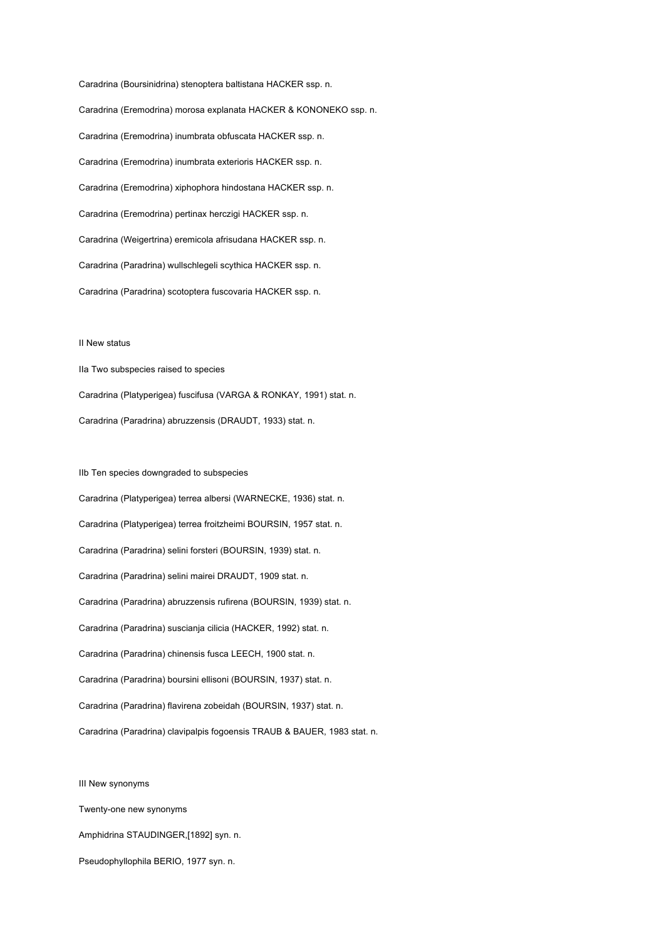Caradrina (Boursinidrina) stenoptera baltistana HACKER ssp. n. Caradrina (Eremodrina) morosa explanata HACKER & KONONEKO ssp. n. Caradrina (Eremodrina) inumbrata obfuscata HACKER ssp. n. Caradrina (Eremodrina) inumbrata exterioris HACKER ssp. n. Caradrina (Eremodrina) xiphophora hindostana HACKER ssp. n. Caradrina (Eremodrina) pertinax herczigi HACKER ssp. n. Caradrina (Weigertrina) eremicola afrisudana HACKER ssp. n. Caradrina (Paradrina) wullschlegeli scythica HACKER ssp. n. Caradrina (Paradrina) scotoptera fuscovaria HACKER ssp. n.

### II New status

IIa Two subspecies raised to species Caradrina (Platyperigea) fuscifusa (VARGA & RONKAY, 1991) stat. n. Caradrina (Paradrina) abruzzensis (DRAUDT, 1933) stat. n.

IIb Ten species downgraded to subspecies Caradrina (Platyperigea) terrea albersi (WARNECKE, 1936) stat. n. Caradrina (Platyperigea) terrea froitzheimi BOURSIN, 1957 stat. n. Caradrina (Paradrina) selini forsteri (BOURSIN, 1939) stat. n. Caradrina (Paradrina) selini mairei DRAUDT, 1909 stat. n. Caradrina (Paradrina) abruzzensis rufirena (BOURSIN, 1939) stat. n. Caradrina (Paradrina) suscianja cilicia (HACKER, 1992) stat. n. Caradrina (Paradrina) chinensis fusca LEECH, 1900 stat. n. Caradrina (Paradrina) boursini ellisoni (BOURSIN, 1937) stat. n. Caradrina (Paradrina) flavirena zobeidah (BOURSIN, 1937) stat. n. Caradrina (Paradrina) clavipalpis fogoensis TRAUB & BAUER, 1983 stat. n.

III New synonyms Twenty-one new synonyms Amphidrina STAUDINGER,[1892] syn. n. Pseudophyllophila BERIO, 1977 syn. n.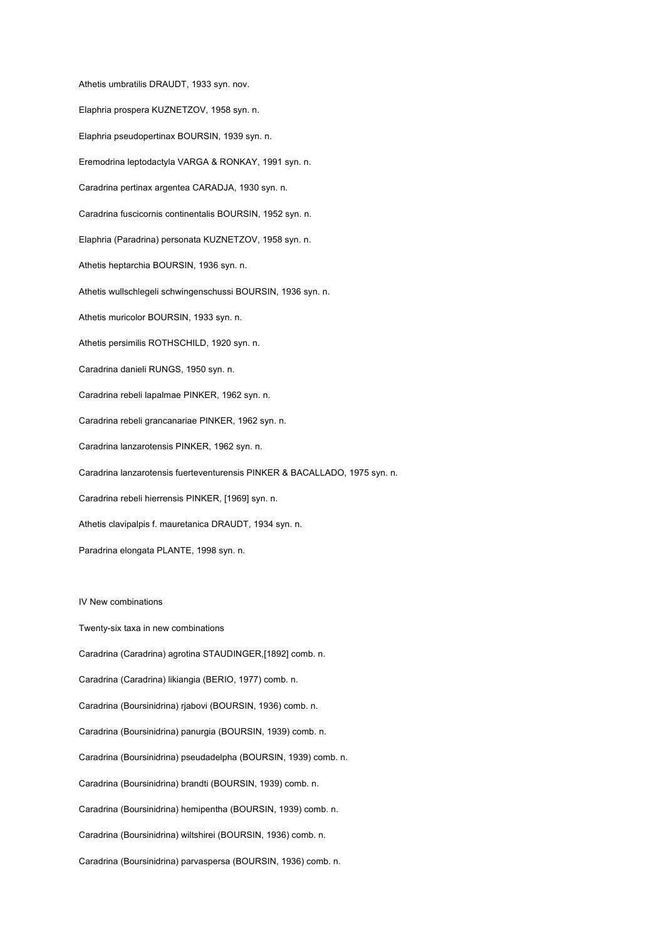Athetis umbratilis DRAUDT, 1933 syn. nov. Elaphria prospera KUZNETZOV, 1958 syn. n. Elaphria pseudopertinax BOURSIN, 1939 syn. n. Eremodrina leptodactyla VARGA & RONKAY, 1991 syn. n. Caradrina pertinax argentea CARADJA, 1930 syn. n. Caradrina fuscicornis continentalis BOURSIN, 1952 syn. n. Elaphria (Paradrina) personata KUZNETZOV, 1958 syn. n. Athetis heptarchia BOURSIN, 1936 syn. n. Athetis wullschlegeli schwingenschussi BOURSIN, 1936 syn. n. Athetis muricolor BOURSIN, 1933 syn. n. Athetis persimilis ROTHSCHILD, 1920 syn. n. Caradrina danieli RUNGS, 1950 syn. n. Caradrina rebeli lapalmae PINKER, 1962 syn. n. Caradrina rebeli grancanariae PINKER, 1962 syn. n. Caradrina lanzarotensis PINKER, 1962 syn. n. Caradrina lanzarotensis fuerteventurensis PINKER & BACALLADO, 1975 syn. n. Caradrina rebeli hierrensis PINKER, [1969] syn. n. Athetis clavipalpis f. mauretanica DRAUDT, 1934 syn. n. Paradrina elongata PLANTE, 1998 syn. n.

### IV New combinations

Twenty-six taxa in new combinations Caradrina (Caradrina) agrotina STAUDINGER,[1892] comb. n. Caradrina (Caradrina) likiangia (BERIO, 1977) comb. n. Caradrina (Boursinidrina) rjabovi (BOURSIN, 1936) comb. n. Caradrina (Boursinidrina) panurgia (BOURSIN, 1939) comb. n. Caradrina (Boursinidrina) pseudadelpha (BOURSIN, 1939) comb. n. Caradrina (Boursinidrina) brandti (BOURSIN, 1939) comb. n. Caradrina (Boursinidrina) hemipentha (BOURSIN, 1939) comb. n. Caradrina (Boursinidrina) wiltshirei (BOURSIN, 1936) comb. n. Caradrina (Boursinidrina) parvaspersa (BOURSIN, 1936) comb. n.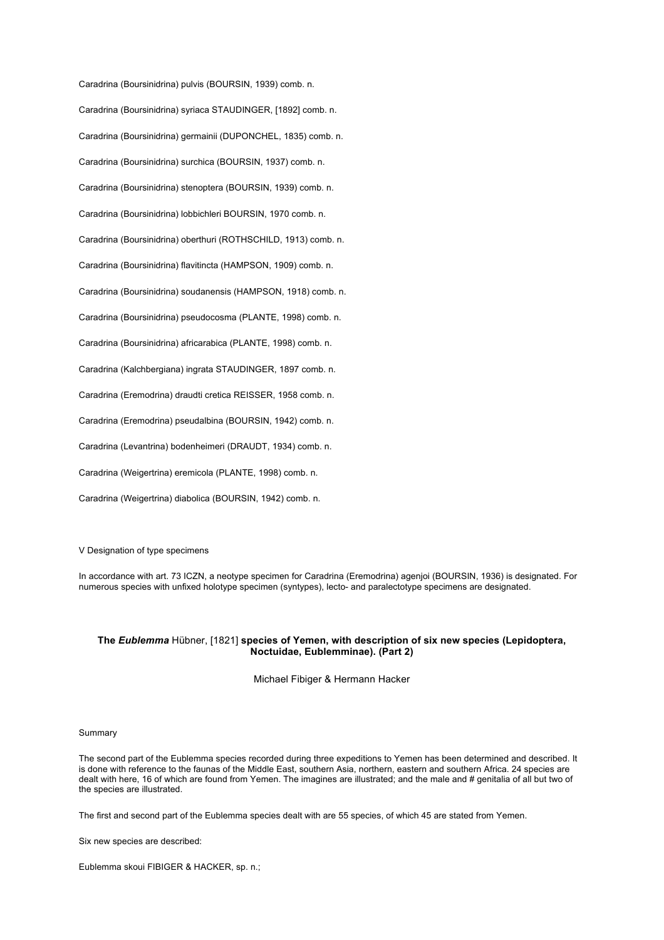Caradrina (Boursinidrina) pulvis (BOURSIN, 1939) comb. n. Caradrina (Boursinidrina) syriaca STAUDINGER, [1892] comb. n. Caradrina (Boursinidrina) germainii (DUPONCHEL, 1835) comb. n. Caradrina (Boursinidrina) surchica (BOURSIN, 1937) comb. n. Caradrina (Boursinidrina) stenoptera (BOURSIN, 1939) comb. n. Caradrina (Boursinidrina) lobbichleri BOURSIN, 1970 comb. n. Caradrina (Boursinidrina) oberthuri (ROTHSCHILD, 1913) comb. n. Caradrina (Boursinidrina) flavitincta (HAMPSON, 1909) comb. n. Caradrina (Boursinidrina) soudanensis (HAMPSON, 1918) comb. n. Caradrina (Boursinidrina) pseudocosma (PLANTE, 1998) comb. n. Caradrina (Boursinidrina) africarabica (PLANTE, 1998) comb. n. Caradrina (Kalchbergiana) ingrata STAUDINGER, 1897 comb. n. Caradrina (Eremodrina) draudti cretica REISSER, 1958 comb. n. Caradrina (Eremodrina) pseudalbina (BOURSIN, 1942) comb. n. Caradrina (Levantrina) bodenheimeri (DRAUDT, 1934) comb. n. Caradrina (Weigertrina) eremicola (PLANTE, 1998) comb. n. Caradrina (Weigertrina) diabolica (BOURSIN, 1942) comb. n.

V Designation of type specimens

In accordance with art. 73 ICZN, a neotype specimen for Caradrina (Eremodrina) agenjoi (BOURSIN, 1936) is designated. For numerous species with unfixed holotype specimen (syntypes), lecto- and paralectotype specimens are designated.

## **The** *Eublemma* Hübner, [1821] **species of Yemen, with description of six new species (Lepidoptera, Noctuidae, Eublemminae). (Part 2)**

Michael Fibiger & Hermann Hacker

### Summary

The second part of the Eublemma species recorded during three expeditions to Yemen has been determined and described. It is done with reference to the faunas of the Middle East, southern Asia, northern, eastern and southern Africa. 24 species are dealt with here, 16 of which are found from Yemen. The imagines are illustrated; and the male and # genitalia of all but two of the species are illustrated.

The first and second part of the Eublemma species dealt with are 55 species, of which 45 are stated from Yemen.

Six new species are described:

Eublemma skoui FIBIGER & HACKER, sp. n.;